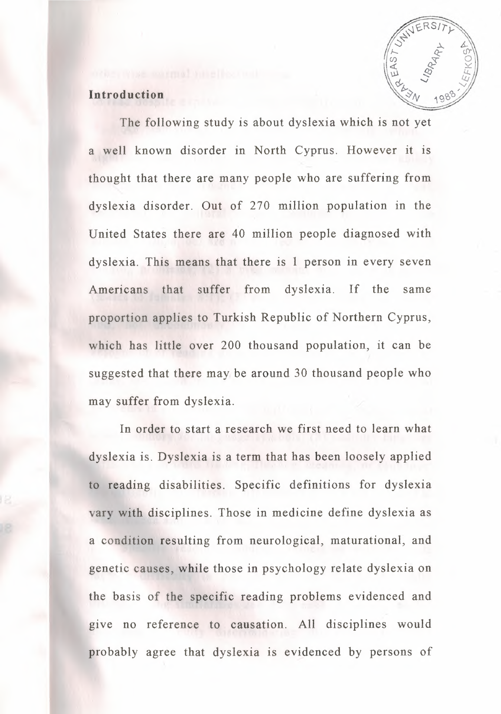

### **Introduction**

The following study is about dyslexia which is not yet a well known disorder in North Cyprus. However it is thought that there are many people who are suffering from dyslexia disorder. Out of 270 million population in the United States there are 40 million people diagnosed with dyslexia. This means that there is 1 person in every seven Americans that suffer from dyslexia. If the same proportion applies to Turkish Republic of Northern Cyprus, which has little over 200 thousand population, it can be suggested that there may be around 30 thousand people who may suffer from dyslexia.

In order to start a research we first need to learn what dyslexia is. Dyslexia is a term that has been loosely applied to reading disabilities. Specific definitions for dyslexia ary with disciplines. Those in medicine define dyslexia as a condition resulting from neurological, maturational, and genetic causes, while those in psychology relate dyslexia on the basis of the specific reading problems evidenced and give no reference to causation. All disciplines would probably agree that dyslexia is evidenced by persons of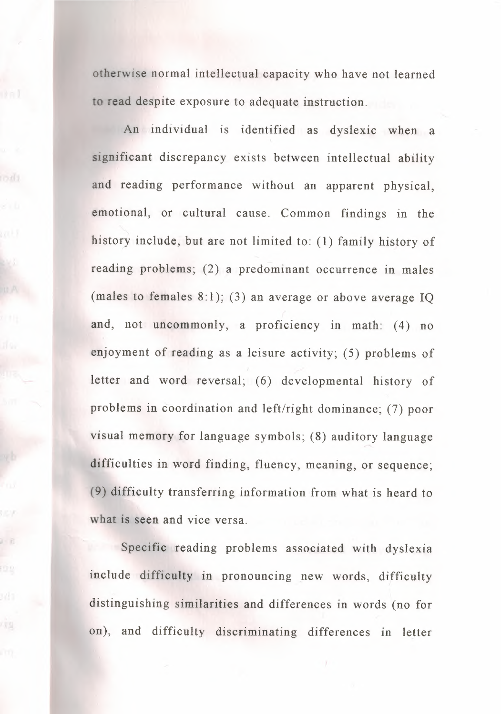otherwise normal intellectual capacity who have not learned o read despite exposure to adequate instruction.

An individual is identified as dyslexic when a significant discrepancy exists between intellectual ability and reading performance without an apparent physical, emotional, or cultural cause. Common findings in the history include, but are not limited to: (1) family history of reading problems; (2) a predominant occurrence in males (males to females 8:1); (3) an average or above average IQ and, not uncommonly, a proficiency in math: (4) no enjoyment of reading as a leisure activity; (5) problems of letter and word reversal; (6) developmental history of problems in coordination and left/right dominance; (7) poor visual memory for language symbols; (8) auditory language difficulties in word finding, fluency, meaning, or sequence; (9) difficulty transferring information from what is heard to what is seen and vice versa.

Specific reading problems associated with dyslexia include difficulty in pronouncing new words, difficulty distinguishing similarities and differences in words (no for on), and difficulty discriminating differences in letter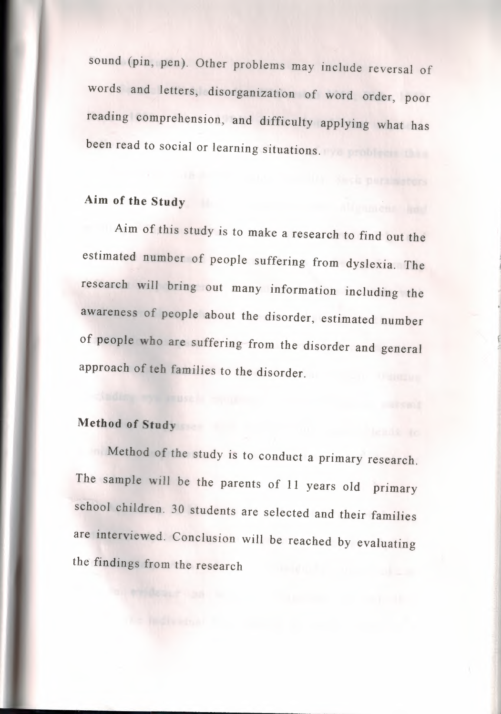sound (pin, pen). Other problems may include reversal of words and letters, disorganization of word order, poor reading comprehension, and difficulty applying what has been read to social or learning situations.

# **Aim of the Study**

Aim of this study is to make a research to find out the estimated number of people suffering from dyslexia. The research will bring out many information including the awareness of people about the disorder, estimated number of people who are suffering from the disorder and general approach of teh families to the disorder.

## **Method of Study**

Method of the study is to conduct a primary research. The sample will be the parents of 11 years old primary school children. 30 students are selected and their families are interviewed. Conclusion will be reached by evaluating the findings from the research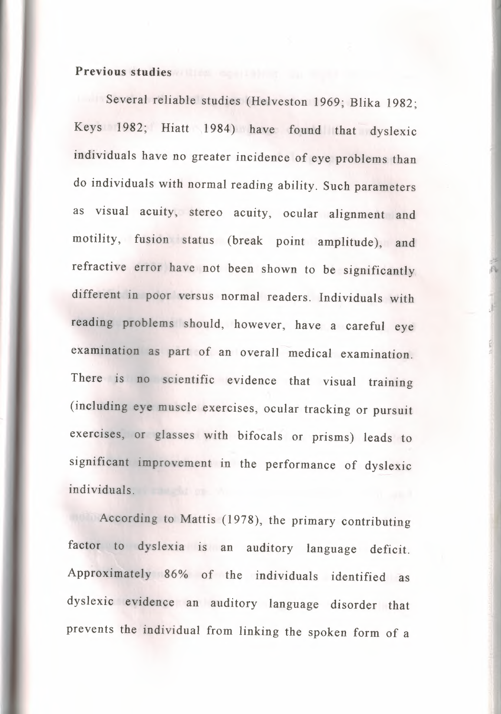### **Previous studies**

Several reliable studies (Helveston 1969; Blika 1982; Keys 1982; Hiatt 1984) have found that dyslexic individuals have no greater incidence of eye problems than do individuals with normal reading ability. Such parameters as visual acuity, stereo acuity, ocular alignment and motility, fusion status (break point amplitude), and refractive error have not been shown to be significantly different in poor versus normal readers. Individuals with reading problems should, however, have a careful eye examination as part of an overall medical examination. There is no scientific evidence that visual training (including eye muscle exercises, ocular tracking or pursuit exercises, or glasses with bifocals or prisms) leads to significant improvement in the performance of dyslexic individuals.

I·

According to Mattis (1978), the primary contributing factor to dyslexia is an auditory language deficit. Approximately 86% of the individuals identified as dyslexic evidence an auditory language disorder that prevents the individual from linking the spoken form of a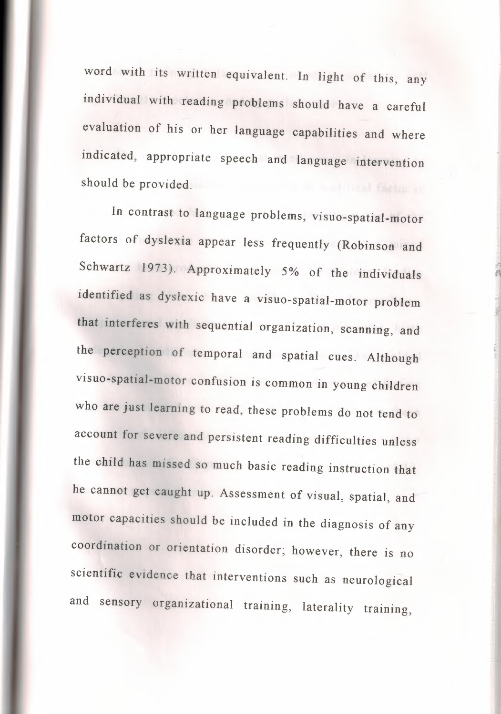word with its written equivalent. In light of this, any individual with reading problems should have a careful evaluation of his or her language capabilities and where indicated, appropriate speech and language intervention should be provided.

In contrast to language problems, visuo-spatial-motor factors of dyslexia appear less frequently (Robinson and Schwartz 1973). Approximately 5% of the individuals identified as dyslexic have a visuo-spatial-motor problem that interferes with sequential organization, scanning, and the perception of temporal and spatial cues. Although visuo-spatial-motor confusion is common in young children who are just learning to read, these problems do not tend to account for severe and persistent reading difficulties unless the child has missed so much basic reading instruction that he cannot get caught up. Assessment of visual, spatial, and motor capacities should be included in the diagnosis of any coordination or orientation disorder; however, there is no scientific evidence that interventions such as neurological and sensory organizational training, laterality training,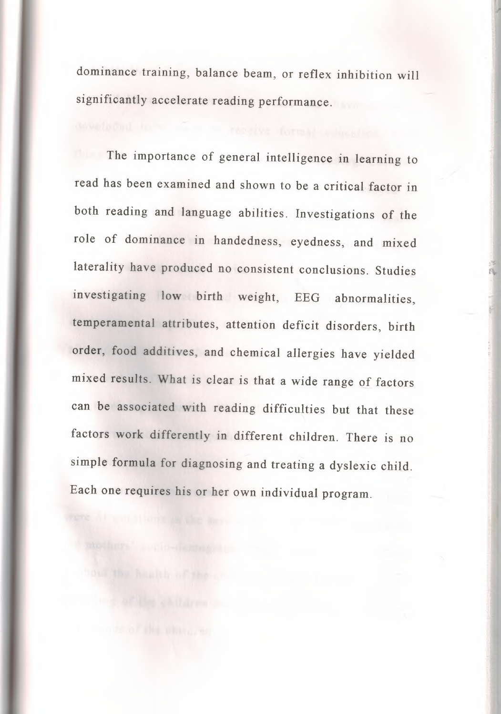dominance training, balance beam, or reflex inhibition will significantly accelerate reading performance.

The importance of general intelligence in learning to read has been examined and shown to be a critical factor in both reading and language abilities. Investigations of the role of dominance in handedness, eyedness, and mixed laterality have produced no consistent conclusions. Studies investigating low birth weight, EEG abnormalities, temperamental attributes, attention deficit disorders, birth order, food additives, and chemical allergies have yielded mixed results. What is clear is that a wide range of factors can be associated with reading difficulties but that these factors work differently in different children. There is no simple formula for diagnosing and treating a dyslexic child. Each one requires his or her own individual program.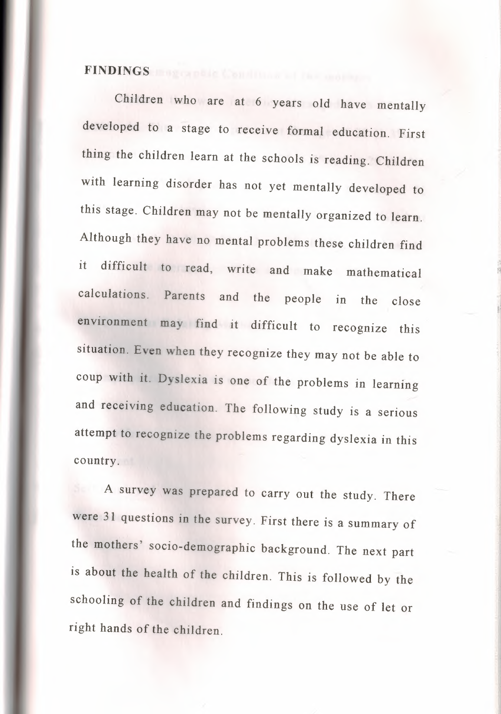## **FINDINGS**

Children who are at 6 years old have mentally developed to a stage to receive formal education. First thing the children learn at the schools is reading. Children with learning disorder has not yet mentally developed to this stage. Children may not be mentally organized to learn. Although they have no mental problems these children find it difficult to read, write and make mathematical calculations. Parents and the people in the close environment may find it difficult to recognize this situation. Even when they recognize they may not be able to coup with it. Dyslexia is one of the problems in learning and receiving education. The following study is a serious attempt to recognize the problems regarding dyslexia in this country.

A survey was prepared to carry out the study. There were 31 questions in the survey. First there is a summary of the mothers' socio-demographic background. The next part is about the health of the children. This is followed by the schooling of the children and findings on the use of let or right hands of the children.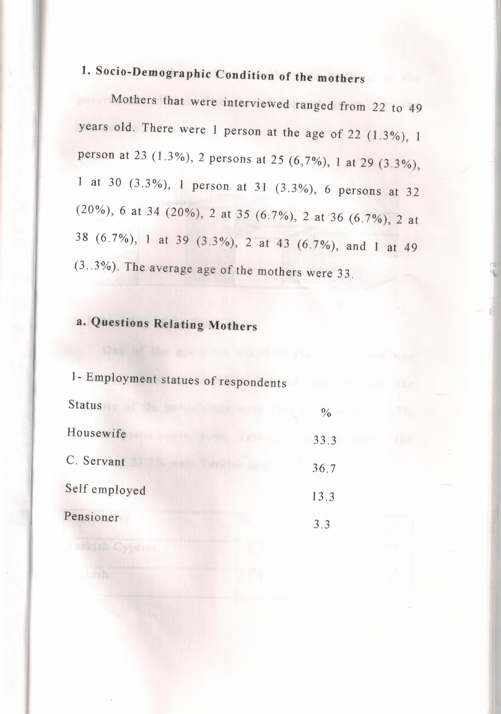# 1. Socio-Demographic Condition of the mothers

Mothers that were interviewed ranged from 22 to 49 years old. There were 1 person at the age of 22 (1.3%), 1 person at 23 (1.3%), 2 persons at 25 (6,7%), 1 at 29 (3.3%), 1 at 30 (3.3%), 1 person at 31 (3.3%), 6 persons at 32 (20%), 6 at 34 (20%), 2 at 35 (6.7%), 2 at 36 (6.7%), 2 at 38 (6.7%), 1 at 39 (3.3%), 2 at 43 (6.7%), and 1 at 49  $(3..3\%)$ . The average age of the mothers were 33.

## a. Questions Relating Mothers

| 1- Employment statues of respondents |               |
|--------------------------------------|---------------|
| <b>Status</b>                        | $\frac{0}{0}$ |
| Housewife                            | 33.3          |
| C. Servant                           | 36.7          |
| Self employed                        | 13.3          |
| Pensioner                            | 3.3           |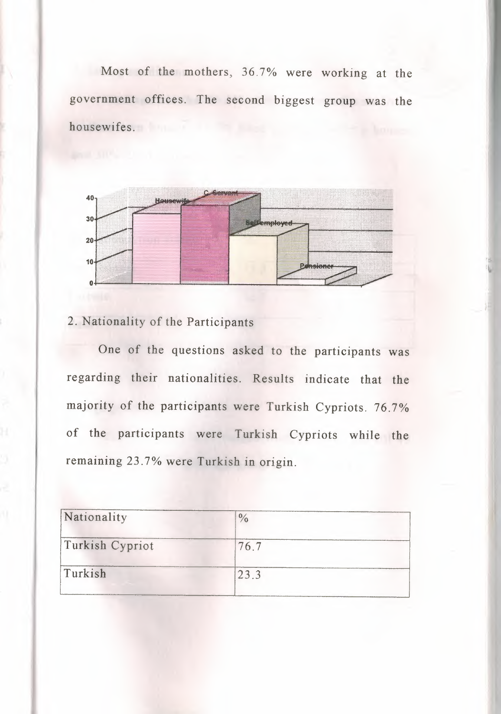Most of the mothers, 36.7% were working at the government offices. The second biggest group was the housewifes.



 $~^{\circ}$  +  $~^{\circ}$ 

### 2. Nationality of the Participants

One of the questions asked to the participants was regarding their nationalities. Results indicate that the majority of the participants were Turkish Cypriots. 76.7% of the participants were Turkish Cypriots while the remaining 23. 7% were Turkish in origin.

| Nationality     | $\frac{0}{\alpha}$ |  |
|-----------------|--------------------|--|
| Turkish Cypriot | 76.7               |  |
| Turkish         | 23.3               |  |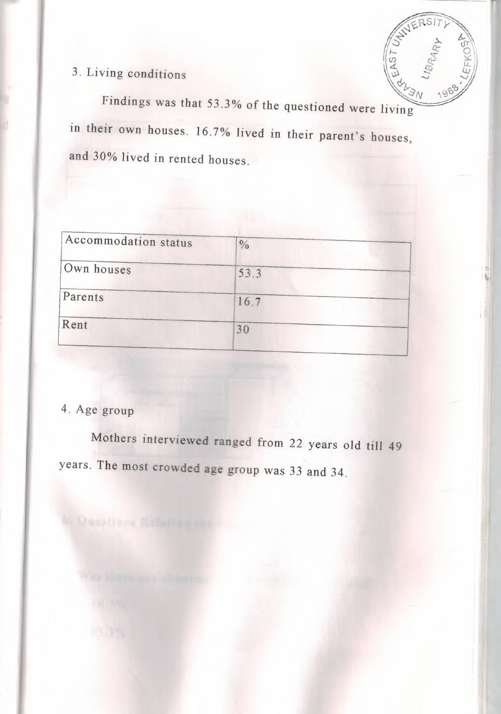

indings was that 53.3% of the  $\sim$   $^{3N}$ ,  $^{190}$ questioned were living in their own houses. 16.7% lived in their parent's houses, and 30% lived in rented houses.

| $\frac{0}{0}$ |
|---------------|
| 53.3          |
| 16.7          |
| 30            |
|               |

### 4. Age group

Mothers interviewed ranged from 22 years old till 49 years. The most crowded age group was 33 and 34.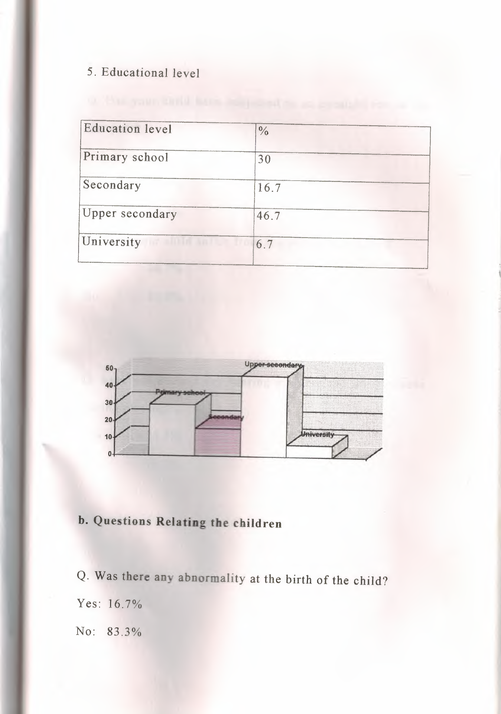### 5. Educational level

| <b>Education level</b> | $\frac{0}{0}$ |  |
|------------------------|---------------|--|
| Primary school         | 30            |  |
| Secondary              | 16.7          |  |
| Upper secondary        | 46.7          |  |
| University             | 6.7           |  |
|                        |               |  |



## **b. Questions Relating the children**

Q. Was there any abnormality at the birth of the child? Yes: 16.7% No: 83.3%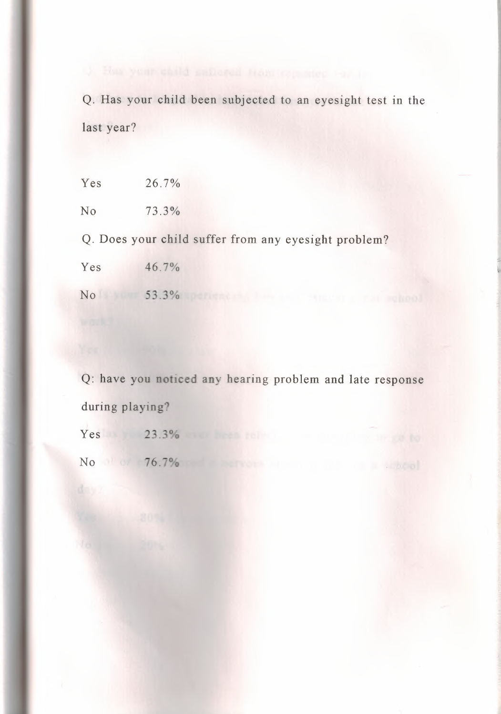Q. Has your child been subjected to an eyesight test in the last year?

 $Yes$  26.7%

No 73.3%

Q. Does your child suffer from any eyesight problem?

Yes 46.7%

No 53.3%

Q: have you noticed any hearing problem and late response during playing?

Yes 23.3%

No 76.7%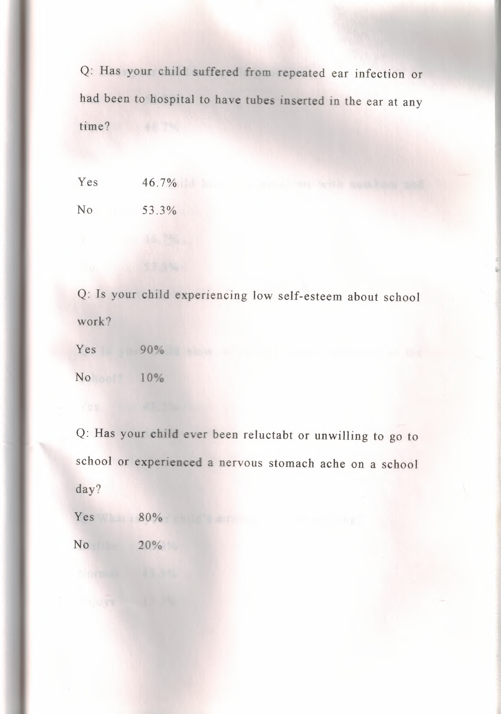Q: Has your child suffered from repeated ear infection or had been to hospital to have tubes inserted in the ear at any time?

Yes 46.7%

No 53.3%

Q: Is your child experiencing low self-esteem about school work?

 $Yes$  90% No 10%

Q: Has your child ever been reluctabt or unwilling to go to school or experienced a nervous stomach ache on a school day?

Yes 80% No 20%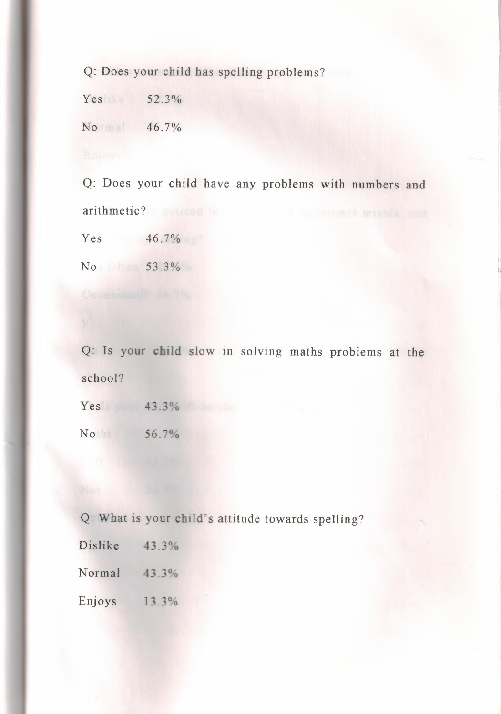Q: Does your child has spelling problems?

 $Yes$   $52.3\%$ 

No 46.7%

Q: Does your child have any problems with numbers and arithmetic?

Yes 46.7%

No 53.3%

Q: Is your child slow in solving maths problems at the school?

Yes 43.3% No 56.7%

Q: What is your child's attitude towards spelling?

|  |  | 43.3% |
|--|--|-------|

Normal 43.3%

Enjoys 13.3%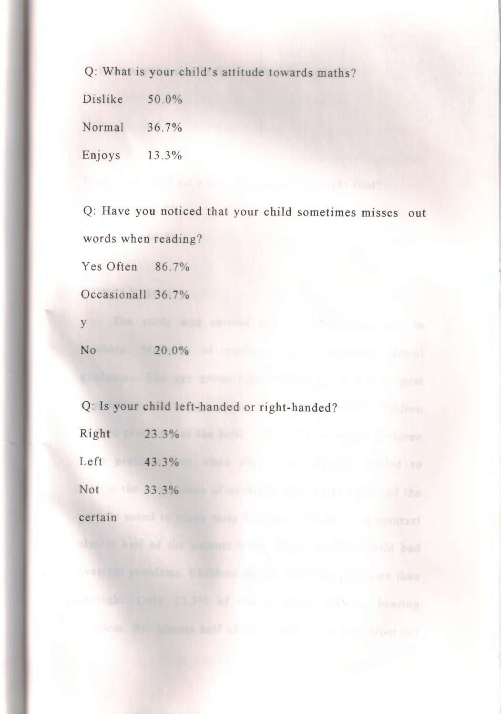Q: What is your child's attitude towards maths?

Dislike Normal Enjoys 50.0% 36.7% 13.3%

Q: Have you noticed that your child sometimes misses out words when reading? Yes Often 86.7% Occasionall 36.7% y the study which was been a start the company

No 20.0% and 20.0% and 20.0% and 20.0% and 20.0% and 20.0% and 20.0% and 20.0% and 20.0% and 20.0% and 20.0% and 20.0% and 20.0% and 20.0% and 20.0% and 20.0% and 20.0% and 20.0% and 20.0% and 20.0% and 20.0% and 20.0% and

Q: Is your child left-handed or right-handed? Right 23.3% Left  $\triangleright$  43.3% Not 33.3% certain entre la communicación de la comunicación de la comunicación de la comunicación de la comunicación de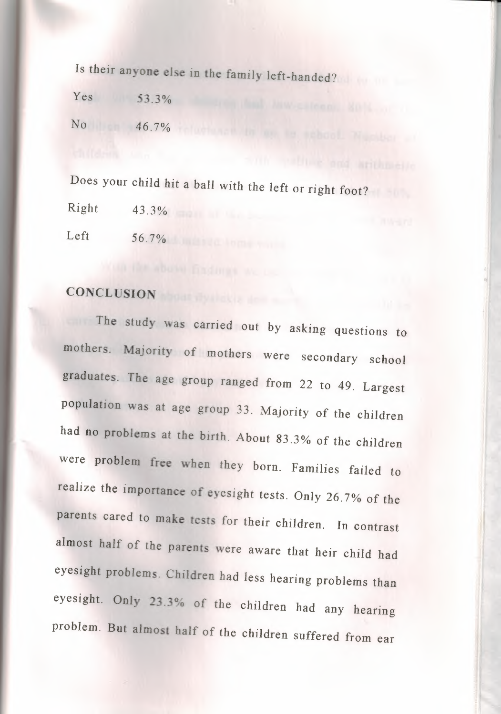Is their anyone else in the family left-handed?

 $Yes$  53.3% *No* 46.7%

Does your child hit a ball with the left or right foot?

Right 43.3%

Left 56.7%

## CONCLUSION

The study was carried out by asking questions to mothers. Majority of mothers were secondary school graduates. The age group ranged from 22 to 49. Largest population was at age group 33. Majority of the children had no problems at the birth. About 83.3% of the children were problem free when they born. Families failed to realize the importance of eyesight tests. Only 26.7% of the parents cared to make tests for their children. In contrast almost half of the parents were aware that heir child had eyesight problems. Children had less hearing problems than eyesight. Only 23.3% of the children had any hearing problem. But almost half of the children suffered from ear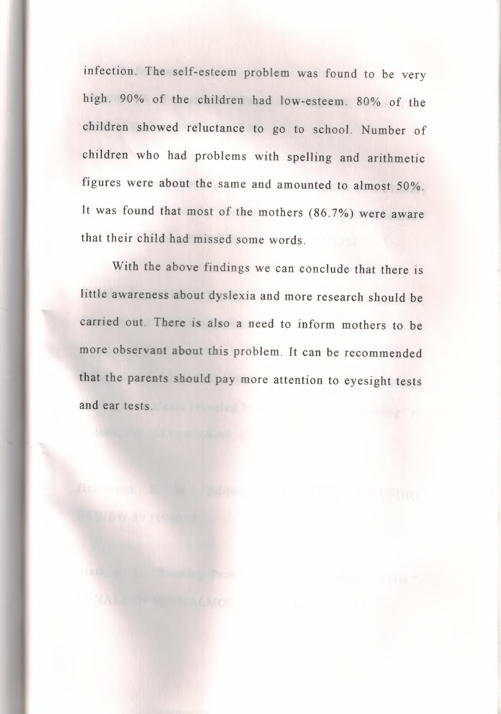infection. The self-esteem problem was found to be very high. 90% of the children had low-esteem. 80% of the children showed reluctance to go to school. Number of children who had problems with spelling and arithmetic figures were about the same and amounted to almost 50%. It was found that most of the mothers (86. 7%) were aware that their child had missed some words.

With the above findings we can conclude that there is little awareness about dyslexia and more research should be carried out. There is also a need to inform mothers to be more observant about this problem. It can be recommended that the parents should pay more attention to eyesight tests and ear tests.

It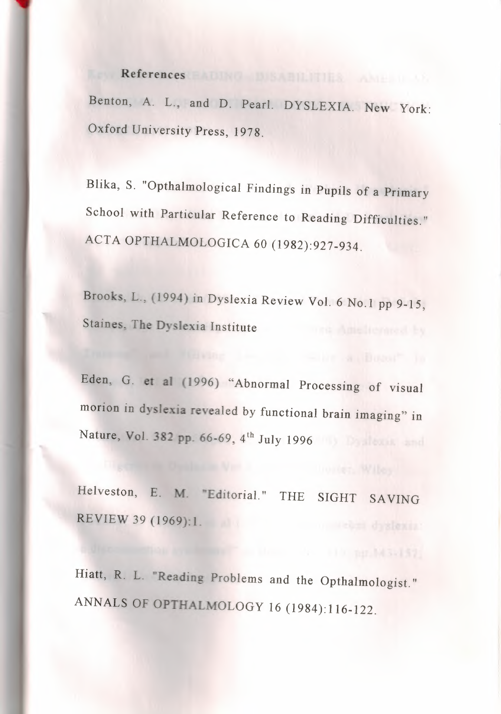## **References**

Benton, A. L., and D. Pearl. DYSLEXIA. New York: Oxford University Press, 1978.

Blika, S. "Opthalmological Findings in Pupils of a Primary School with Particular Reference to Reading Difficulties." ACTA OPTHALMOLOGICA 60 (1982):927-934.

Brooks. L., (1994) in Dyslexia Review Vol. 6 No.I pp 9-15, Staines, The Dyslexia Institute

Eden, G. et al (1996) "Abnormal Processing of visual morion in dyslexia revealed by functional brain imaging" in Nature, Vol. 382 pp. 66-69, 4<sup>th</sup> July 1996

Helveston, E. M. "Editorial." THE SIGHT SAVING REVIEW 39 (1969): I.

Hiatt, R. L. "Reading Problems and the Opthalmologist." ANNALS OF OPTHALMOLOGY 16 (1984):116-122.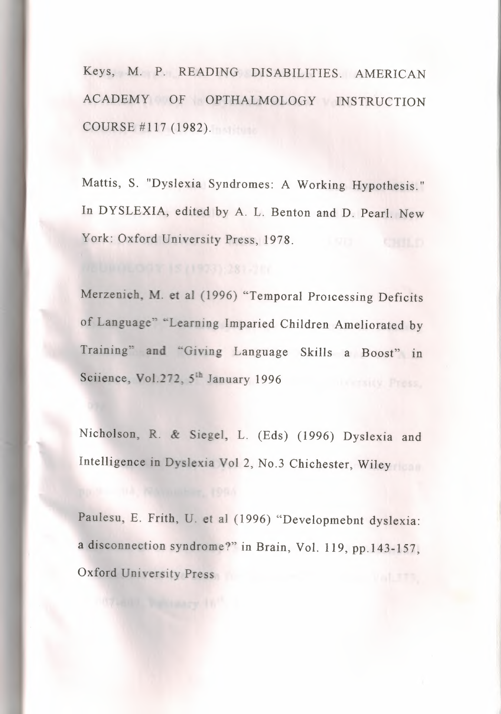Keys, M. P. READING DISABILITIES. AMERICAN ACADEMY OF OPTHALMOLOGY INSTRUCTION COURSE # 117 (1982).

Mattis, S. "Dyslexia Syndromes: A Working Hypothesis." In DYSLEXIA, edited by A. L. Benton and D. Pearl. New York: Oxford University Press, 1978.

Merzenich, M. et al (1996) "Temporal Proicessing Deficits of Language" "Learning Imparied Children Ameliorated by Training" and "Giving Language Skills a Boost" in Sciience, Vol.272, 5<sup>th</sup> January 1996

Nicholson, R. & Siegel, L. (Eds) (1996) Dyslexia and Intelligence in Dyslexia Vol 2, No.3 Chichester, Wiley

Paulesu, E. Frith, U. et al (1996) "Developmebnt dyslexia: a disconnection syndrome?" in Brain, Vol. 119, pp.143-157, Oxford University Press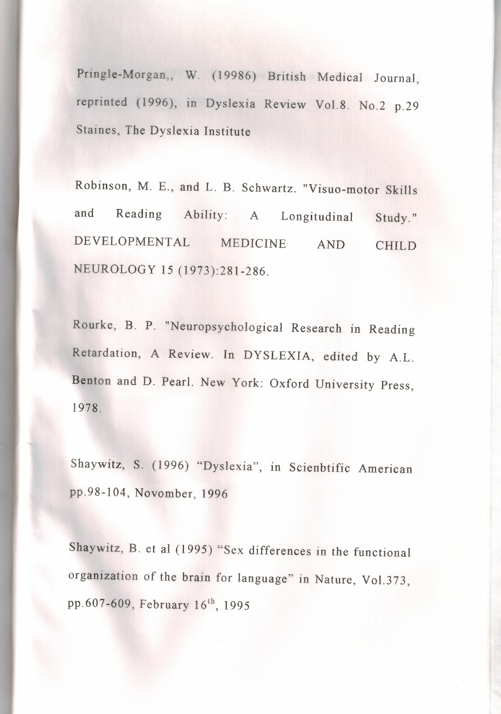Pringle-Morgan,, W. (19986) British Medical Journal, reprinted (1996), in Dyslexia Review Vol.8. No.2 p.29 Staines, The Dyslexia Institute

Robinson, M. E., and L. B. Schwartz. "Visuo-motor Skills and Reading Ability: A Longitudinal DEVELOPMENTAL MEDICINE AND NEUROLOGY 15 (1973):281-286. Study." CHILD

Rourke, B. P. "Neuropsychological Research in Reading Retardation, A Review. In DYSLEXIA, edited by A.L. Benton and D. Pearl. New York: Oxford University Press, 1978.

Shaywitz, S. (1996) "Dyslexia", in Scienbtific American pp.98-104, Novomber, 1996

Shaywitz, B. et al (1995) "Sex differences in the functional organization of the brain for language" in Nature, Vol.373, pp.607-609, February  $16^{th}$ , 1995